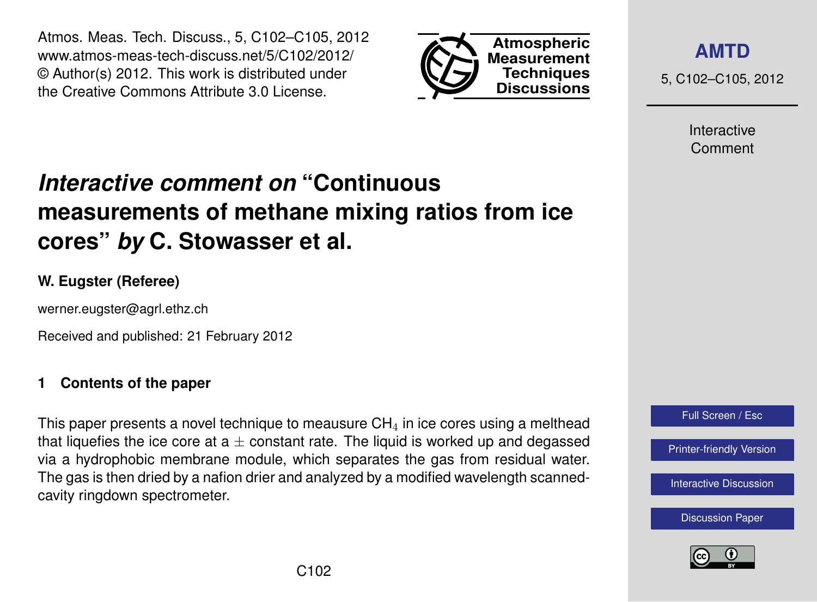Atmos. Meas. Tech. Discuss., 5, C102–C105, 2012 www.atmos-meas-tech-discuss.net/5/C102/2012/ © Author(s) 2012. This work is distributed under the Creative Commons Attribute 3.0 License.



**[AMTD](http://www.atmos-meas-tech-discuss.net)**

5, C102–C105, 2012

Interactive Comment

# *Interactive comment on* **"Continuous measurements of methane mixing ratios from ice cores"** *by* **C. Stowasser et al.**

# **W. Eugster (Referee)**

werner.eugster@agrl.ethz.ch

Received and published: 21 February 2012

# **1 Contents of the paper**

This paper presents a novel technique to meausure  $CH<sub>4</sub>$  in ice cores using a melthead that liquefies the ice core at  $a \pm$  constant rate. The liquid is worked up and degassed via a hydrophobic membrane module, which separates the gas from residual water. The gas is then dried by a nafion drier and analyzed by a modified wavelength scannedcavity ringdown spectrometer.



[Interactive Discussion](http://www.atmos-meas-tech-discuss.net/5/211/2012/amtd-5-211-2012-discussion.html)

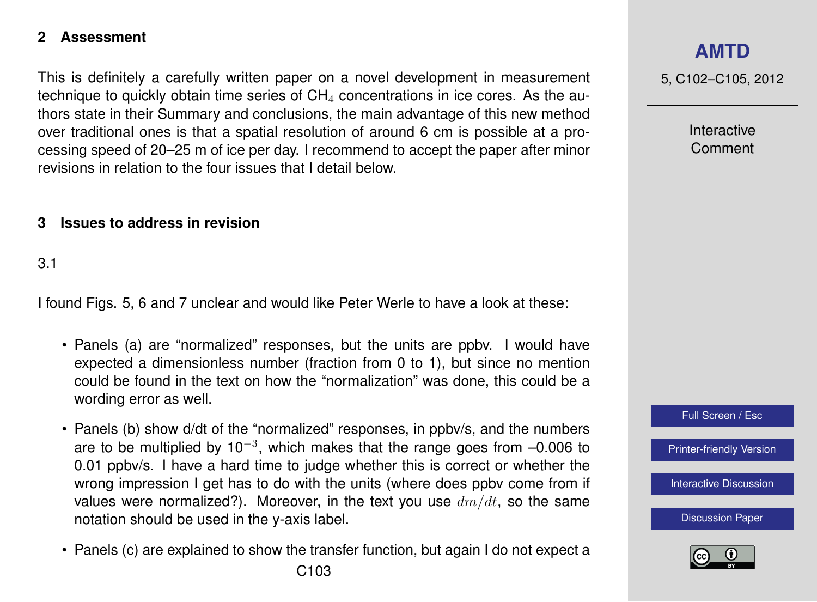## **2 Assessment**

This is definitely a carefully written paper on a novel development in measurement technique to quickly obtain time series of  $CH<sub>4</sub>$  concentrations in ice cores. As the authors state in their Summary and conclusions, the main advantage of this new method over traditional ones is that a spatial resolution of around 6 cm is possible at a processing speed of 20–25 m of ice per day. I recommend to accept the paper after minor revisions in relation to the four issues that I detail below.

## **3 Issues to address in revision**

## 3.1

I found Figs. 5, 6 and 7 unclear and would like Peter Werle to have a look at these:

- Panels (a) are "normalized" responses, but the units are ppbv. I would have expected a dimensionless number (fraction from 0 to 1), but since no mention could be found in the text on how the "normalization" was done, this could be a wording error as well.
- Panels (b) show d/dt of the "normalized" responses, in ppbv/s, and the numbers are to be multiplied by 10<sup>-3</sup>, which makes that the range goes from  $-0.006$  to 0.01 ppbv/s. I have a hard time to judge whether this is correct or whether the wrong impression I get has to do with the units (where does ppbv come from if values were normalized?). Moreover, in the text you use  $dm/dt$ , so the same notation should be used in the y-axis label.
- Panels (c) are explained to show the transfer function, but again I do not expect a

5, C102–C105, 2012

Interactive Comment



[Printer-friendly Version](http://www.atmos-meas-tech-discuss.net/5/C102/2012/amtd-5-C102-2012-print.pdf)

[Interactive Discussion](http://www.atmos-meas-tech-discuss.net/5/211/2012/amtd-5-211-2012-discussion.html)

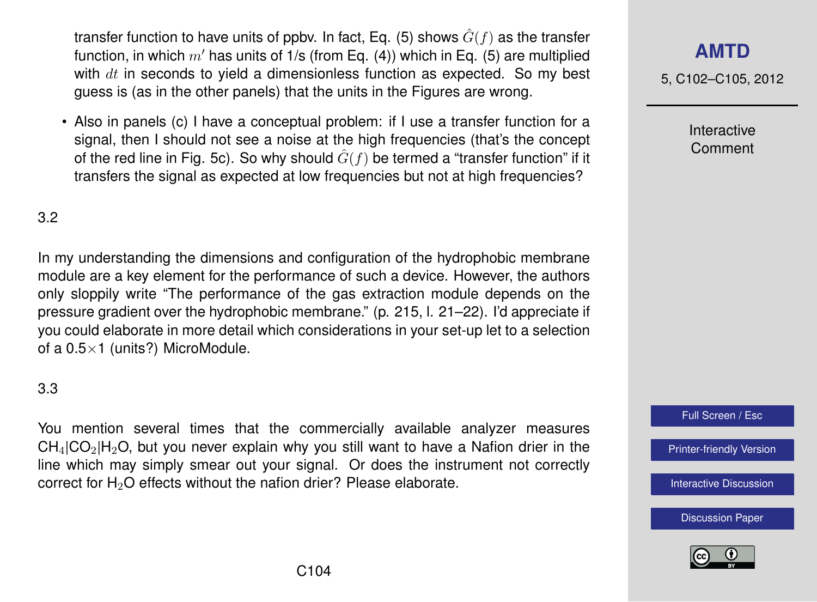transfer function to have units of ppby. In fact, Eq. (5) shows  $\hat{G}(f)$  as the transfer function, in which  $m'$  has units of 1/s (from Eq. (4)) which in Eq. (5) are multiplied with  $dt$  in seconds to yield a dimensionless function as expected. So my best guess is (as in the other panels) that the units in the Figures are wrong.

• Also in panels (c) I have a conceptual problem: if I use a transfer function for a signal, then I should not see a noise at the high frequencies (that's the concept of the red line in Fig. 5c). So why should  $\hat{G}(f)$  be termed a "transfer function" if it transfers the signal as expected at low frequencies but not at high frequencies?

#### 3.2

In my understanding the dimensions and configuration of the hydrophobic membrane module are a key element for the performance of such a device. However, the authors only sloppily write "The performance of the gas extraction module depends on the pressure gradient over the hydrophobic membrane." (p. 215, l. 21–22). I'd appreciate if you could elaborate in more detail which considerations in your set-up let to a selection of a  $0.5 \times 1$  (units?) MicroModule.

## 3.3

You mention several times that the commercially available analyzer measures  $CH<sub>4</sub>|CO<sub>2</sub>|H<sub>2</sub>O$ , but you never explain why you still want to have a Nafion drier in the line which may simply smear out your signal. Or does the instrument not correctly correct for  $H_2O$  effects without the nafion drier? Please elaborate.

# **[AMTD](http://www.atmos-meas-tech-discuss.net)**

5, C102–C105, 2012

Interactive Comment

Full Screen / Esc

[Printer-friendly Version](http://www.atmos-meas-tech-discuss.net/5/C102/2012/amtd-5-C102-2012-print.pdf)

[Interactive Discussion](http://www.atmos-meas-tech-discuss.net/5/211/2012/amtd-5-211-2012-discussion.html)